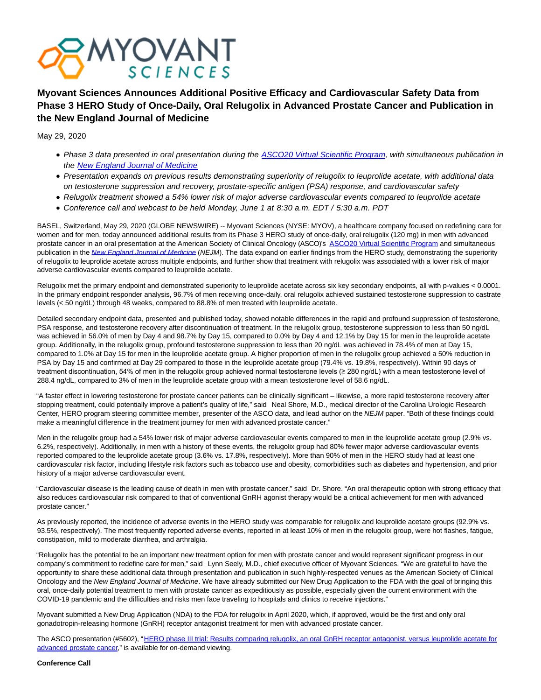

**Myovant Sciences Announces Additional Positive Efficacy and Cardiovascular Safety Data from Phase 3 HERO Study of Once-Daily, Oral Relugolix in Advanced Prostate Cancer and Publication in the New England Journal of Medicine**

May 29, 2020

- Phase 3 data presented in oral presentation during the [ASCO20 Virtual Scientific Program,](https://meetinglibrary.asco.org/record/191602/abstract) with simultaneous publication in the [New England Journal of Medicine](https://www.nejm.org/doi/full/10.1056/NEJMoa2004325)
- Presentation expands on previous results demonstrating superiority of relugolix to leuprolide acetate, with additional data on testosterone suppression and recovery, prostate-specific antigen (PSA) response, and cardiovascular safety
- Relugolix treatment showed a 54% lower risk of major adverse cardiovascular events compared to leuprolide acetate
- Conference call and webcast to be held Monday, June 1 at 8:30 a.m. EDT / 5:30 a.m. PDT

BASEL, Switzerland, May 29, 2020 (GLOBE NEWSWIRE) -- Myovant Sciences (NYSE: MYOV), a healthcare company focused on redefining care for women and for men, today announced additional results from its Phase 3 HERO study of once-daily, oral relugolix (120 mg) in men with advanced prostate cancer in an oral presentation at the American Society of Clinical Oncology (ASCO)'s [ASCO20 Virtual Scientific Program a](https://www.globenewswire.com/Tracker?data=ZTfRkC_sESD2thTxERH7dm59d1CE1mvNRCU-HzW23qB7qOZI3PkeQRr5QW06RcNp5WrT1weuPZnpkkRYoqoSmgLTRjIgggvde6cfD2-IGyLvk7rQJMI6iTPlT5fTtpJR3E-FH6QcK-DMwrPIH_yKHg==)nd simultaneous publication in the [New England Journal of Medicine](https://www.nejm.org/doi/full/10.1056/NEJMoa2004325) (NEJM). The data expand on earlier findings from the HERO study, demonstrating the superiority of relugolix to leuprolide acetate across multiple endpoints, and further show that treatment with relugolix was associated with a lower risk of major adverse cardiovascular events compared to leuprolide acetate.

Relugolix met the primary endpoint and demonstrated superiority to leuprolide acetate across six key secondary endpoints, all with p-values < 0.0001. In the primary endpoint responder analysis, 96.7% of men receiving once-daily, oral relugolix achieved sustained testosterone suppression to castrate levels (< 50 ng/dL) through 48 weeks, compared to 88.8% of men treated with leuprolide acetate.

Detailed secondary endpoint data, presented and published today, showed notable differences in the rapid and profound suppression of testosterone, PSA response, and testosterone recovery after discontinuation of treatment. In the relugolix group, testosterone suppression to less than 50 ng/dL was achieved in 56.0% of men by Day 4 and 98.7% by Day 15, compared to 0.0% by Day 4 and 12.1% by Day 15 for men in the leuprolide acetate group. Additionally, in the relugolix group, profound testosterone suppression to less than 20 ng/dL was achieved in 78.4% of men at Day 15, compared to 1.0% at Day 15 for men in the leuprolide acetate group. A higher proportion of men in the relugolix group achieved a 50% reduction in PSA by Day 15 and confirmed at Day 29 compared to those in the leuprolide acetate group (79.4% vs. 19.8%, respectively). Within 90 days of treatment discontinuation, 54% of men in the relugolix group achieved normal testosterone levels (≥ 280 ng/dL) with a mean testosterone level of 288.4 ng/dL, compared to 3% of men in the leuprolide acetate group with a mean testosterone level of 58.6 ng/dL.

"A faster effect in lowering testosterone for prostate cancer patients can be clinically significant – likewise, a more rapid testosterone recovery after stopping treatment, could potentially improve a patient's quality of life," said Neal Shore, M.D., medical director of the Carolina Urologic Research Center, HERO program steering committee member, presenter of the ASCO data, and lead author on the NEJM paper. "Both of these findings could make a meaningful difference in the treatment journey for men with advanced prostate cancer."

Men in the relugolix group had a 54% lower risk of major adverse cardiovascular events compared to men in the leuprolide acetate group (2.9% vs. 6.2%, respectively). Additionally, in men with a history of these events, the relugolix group had 80% fewer major adverse cardiovascular events reported compared to the leuprolide acetate group (3.6% vs. 17.8%, respectively). More than 90% of men in the HERO study had at least one cardiovascular risk factor, including lifestyle risk factors such as tobacco use and obesity, comorbidities such as diabetes and hypertension, and prior history of a major adverse cardiovascular event.

"Cardiovascular disease is the leading cause of death in men with prostate cancer," said Dr. Shore. "An oral therapeutic option with strong efficacy that also reduces cardiovascular risk compared to that of conventional GnRH agonist therapy would be a critical achievement for men with advanced prostate cancer."

As previously reported, the incidence of adverse events in the HERO study was comparable for relugolix and leuprolide acetate groups (92.9% vs. 93.5%, respectively). The most frequently reported adverse events, reported in at least 10% of men in the relugolix group, were hot flashes, fatigue, constipation, mild to moderate diarrhea, and arthralgia.

"Relugolix has the potential to be an important new treatment option for men with prostate cancer and would represent significant progress in our company's commitment to redefine care for men," said Lynn Seely, M.D., chief executive officer of Myovant Sciences. "We are grateful to have the opportunity to share these additional data through presentation and publication in such highly-respected venues as the American Society of Clinical Oncology and the New England Journal of Medicine. We have already submitted our New Drug Application to the FDA with the goal of bringing this oral, once-daily potential treatment to men with prostate cancer as expeditiously as possible, especially given the current environment with the COVID-19 pandemic and the difficulties and risks men face traveling to hospitals and clinics to receive injections."

Myovant submitted a New Drug Application (NDA) to the FDA for relugolix in April 2020, which, if approved, would be the first and only oral gonadotropin-releasing hormone (GnRH) receptor antagonist treatment for men with advanced prostate cancer.

The ASCO presentation (#5602), ["HERO phase III trial: Results comparing relugolix, an oral GnRH receptor antagonist, versus leuprolide acetate for](https://www.globenewswire.com/Tracker?data=wxcXN6fMUGBY6jAR8oqWINisTEBKdQMFZcBuITgUIqE715lYDKOyEq7WAvJJzbmlZv4p2X9hzu2BfsWZOs5PdvwdWDLqqoTkyTAEWaPIwpUZFhsD2YLiDp8AzTJ2p4zgZSaTYIMoHO0x9zioIwbmbfhqbbH16UEV0fJJqLfh1FtjrKUeSF-oWmsLE_fG_FByUx1o7IuzlT4FQHvtxHIBHvcjWlrKJzs1Lp9cL2_VRAIbtfURAXoaq9F-aakY3YQiJshQLcMcfHztOklEW25AoTrw675RirYcCfuRhtqbpiU=) advanced prostate cancer," is available for on-demand viewing.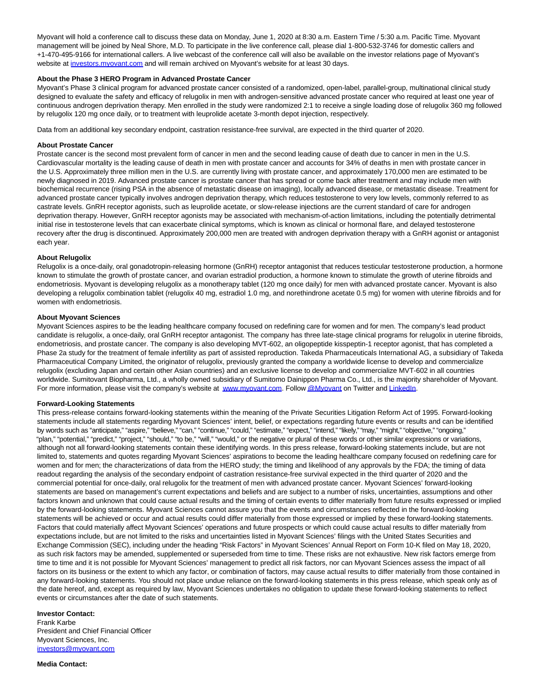Myovant will hold a conference call to discuss these data on Monday, June 1, 2020 at 8:30 a.m. Eastern Time / 5:30 a.m. Pacific Time. Myovant management will be joined by Neal Shore, M.D. To participate in the live conference call, please dial 1-800-532-3746 for domestic callers and +1-470-495-9166 for international callers. A live webcast of the conference call will also be available on the investor relations page of Myovant's website at [investors.myovant.com a](https://www.globenewswire.com/Tracker?data=u0AfZzvsXa5SUju-1QVR6ihcqSkpr84OoDf0Px_XD5XJnEfqkC7CoZvBM_ZTmYWZgZgg7WMviXy8J-094auEOukPTgfz6Mb7B1O73PgKnRY=)nd will remain archived on Myovant's website for at least 30 days.

# **About the Phase 3 HERO Program in Advanced Prostate Cancer**

Myovant's Phase 3 clinical program for advanced prostate cancer consisted of a randomized, open-label, parallel-group, multinational clinical study designed to evaluate the safety and efficacy of relugolix in men with androgen-sensitive advanced prostate cancer who required at least one year of continuous androgen deprivation therapy. Men enrolled in the study were randomized 2:1 to receive a single loading dose of relugolix 360 mg followed by relugolix 120 mg once daily, or to treatment with leuprolide acetate 3-month depot injection, respectively.

Data from an additional key secondary endpoint, castration resistance-free survival, are expected in the third quarter of 2020.

### **About Prostate Cancer**

Prostate cancer is the second most prevalent form of cancer in men and the second leading cause of death due to cancer in men in the U.S. Cardiovascular mortality is the leading cause of death in men with prostate cancer and accounts for 34% of deaths in men with prostate cancer in the U.S. Approximately three million men in the U.S. are currently living with prostate cancer, and approximately 170,000 men are estimated to be newly diagnosed in 2019. Advanced prostate cancer is prostate cancer that has spread or come back after treatment and may include men with biochemical recurrence (rising PSA in the absence of metastatic disease on imaging), locally advanced disease, or metastatic disease. Treatment for advanced prostate cancer typically involves androgen deprivation therapy, which reduces testosterone to very low levels, commonly referred to as castrate levels. GnRH receptor agonists, such as leuprolide acetate, or slow-release injections are the current standard of care for androgen deprivation therapy. However, GnRH receptor agonists may be associated with mechanism-of-action limitations, including the potentially detrimental initial rise in testosterone levels that can exacerbate clinical symptoms, which is known as clinical or hormonal flare, and delayed testosterone recovery after the drug is discontinued. Approximately 200,000 men are treated with androgen deprivation therapy with a GnRH agonist or antagonist each year.

# **About Relugolix**

Relugolix is a once-daily, oral gonadotropin-releasing hormone (GnRH) receptor antagonist that reduces testicular testosterone production, a hormone known to stimulate the growth of prostate cancer, and ovarian estradiol production, a hormone known to stimulate the growth of uterine fibroids and endometriosis. Myovant is developing relugolix as a monotherapy tablet (120 mg once daily) for men with advanced prostate cancer. Myovant is also developing a relugolix combination tablet (relugolix 40 mg, estradiol 1.0 mg, and norethindrone acetate 0.5 mg) for women with uterine fibroids and for women with endometriosis.

#### **About Myovant Sciences**

Myovant Sciences aspires to be the leading healthcare company focused on redefining care for women and for men. The company's lead product candidate is relugolix, a once-daily, oral GnRH receptor antagonist. The company has three late-stage clinical programs for relugolix in uterine fibroids, endometriosis, and prostate cancer. The company is also developing MVT-602, an oligopeptide kisspeptin-1 receptor agonist, that has completed a Phase 2a study for the treatment of female infertility as part of assisted reproduction. Takeda Pharmaceuticals International AG, a subsidiary of Takeda Pharmaceutical Company Limited, the originator of relugolix, previously granted the company a worldwide license to develop and commercialize relugolix (excluding Japan and certain other Asian countries) and an exclusive license to develop and commercialize MVT-602 in all countries worldwide. Sumitovant Biopharma, Ltd., a wholly owned subsidiary of Sumitomo Dainippon Pharma Co., Ltd., is the majority shareholder of Myovant. For more information, please visit the company's website at [www.myovant.com.](https://www.globenewswire.com/Tracker?data=7Vb4sLNWl2-K-vBdjcMz-WvNPE5GxAO-YyP3YpcpFWxDoi4H0Vuylb8LDQqjcS_NWV9ESuFUv0gOvYOknv2WoKmvWiXMKJ4HTadWehTUCDi9funamdDHwj4ZeNjFs1wzAMOSDIblq_pZR26TcirRL1Oj5kFUTYxZZ5tbbwXoHqixZjHXo3n-NsZHmzFWzxqS0LonIkrE7rga2zuXoOSqMgeQtfM2a3fm-p64tafIjzM=) Follo[w @Myovant o](https://www.globenewswire.com/Tracker?data=_Wk2eSEV3It0LHpYwiVQhlnAoye51BWmKrZKQttccqdYFTYUkAq8LeuDYGWBfrkcKXLTR6ie8XNgAI9PgjvZE7rsIt-rhHpNqAFcnQtbG41SU6-Oc3FlsiHvKBgty4VlvKJtidaXvIvpFKMMVqYQVw31RJ50KJD0urtleqtNlaTq6zYN8345g41gSqNDePAOwqvv4I8dLyVAjHwzzW6WZTpoSbpFvkUpSTUAHGLbh3Q=)n Twitter and [LinkedIn.](https://www.globenewswire.com/Tracker?data=Zcbo2cmZ62LfTLveOadR5HosDaRTKXy35UA7k5KLbvA2V07anD-4OeO-5tPmAqGjDh0XsLQkvPoXMiYxSidHkRKiPzvrNgg1tRUiAe-WsSKA_aus8tsZQC-UpHUOauhkL6TP9genzTGY7ll7xoXJ7jTfAAfRbbYF1w4P6OaZy96lWZxIZsGfT5pjBi_ET9ILL0EC7EHmDOWXU_P0vaCnFna9A3TKFeglXk5u5Kip7Z0Na8TQA-jy-2dvszUGggv5)

#### **Forward-Looking Statements**

This press-release contains forward-looking statements within the meaning of the Private Securities Litigation Reform Act of 1995. Forward-looking statements include all statements regarding Myovant Sciences' intent, belief, or expectations regarding future events or results and can be identified by words such as "anticipate," "aspire," "believe," "can," "continue," "could," "estimate," "expect," "intend," "likely," "may," "might," "objective," "ongoing," "plan," "potential," "predict," "project," "should," "to be," "will," "would," or the negative or plural of these words or other similar expressions or variations, although not all forward-looking statements contain these identifying words. In this press release, forward-looking statements include, but are not limited to, statements and quotes regarding Myovant Sciences' aspirations to become the leading healthcare company focused on redefining care for women and for men; the characterizations of data from the HERO study; the timing and likelihood of any approvals by the FDA; the timing of data readout regarding the analysis of the secondary endpoint of castration resistance-free survival expected in the third quarter of 2020 and the commercial potential for once-daily, oral relugolix for the treatment of men with advanced prostate cancer. Myovant Sciences' forward-looking statements are based on management's current expectations and beliefs and are subject to a number of risks, uncertainties, assumptions and other factors known and unknown that could cause actual results and the timing of certain events to differ materially from future results expressed or implied by the forward-looking statements. Myovant Sciences cannot assure you that the events and circumstances reflected in the forward-looking statements will be achieved or occur and actual results could differ materially from those expressed or implied by these forward-looking statements. Factors that could materially affect Myovant Sciences' operations and future prospects or which could cause actual results to differ materially from expectations include, but are not limited to the risks and uncertainties listed in Myovant Sciences' filings with the United States Securities and Exchange Commission (SEC), including under the heading "Risk Factors" in Myovant Sciences' Annual Report on Form 10-K filed on May 18, 2020, as such risk factors may be amended, supplemented or superseded from time to time. These risks are not exhaustive. New risk factors emerge from time to time and it is not possible for Myovant Sciences' management to predict all risk factors, nor can Myovant Sciences assess the impact of all factors on its business or the extent to which any factor, or combination of factors, may cause actual results to differ materially from those contained in any forward-looking statements. You should not place undue reliance on the forward-looking statements in this press release, which speak only as of the date hereof, and, except as required by law, Myovant Sciences undertakes no obligation to update these forward-looking statements to reflect events or circumstances after the date of such statements.

### **Investor Contact:** Frank Karbe President and Chief Financial Officer Myovant Sciences, Inc.

[investors@myovant.com](https://www.globenewswire.com/Tracker?data=u0AfZzvsXa5SUju-1QVR6vLhCpjzXiPc7NufQRiprDGVGYPv2wJ8pX6pu0sLrFL-jfl4fzDsuQU-UYt3NT9Vp_KWFCVCysM2DYuKkbWVjFg=)

**Media Contact:**